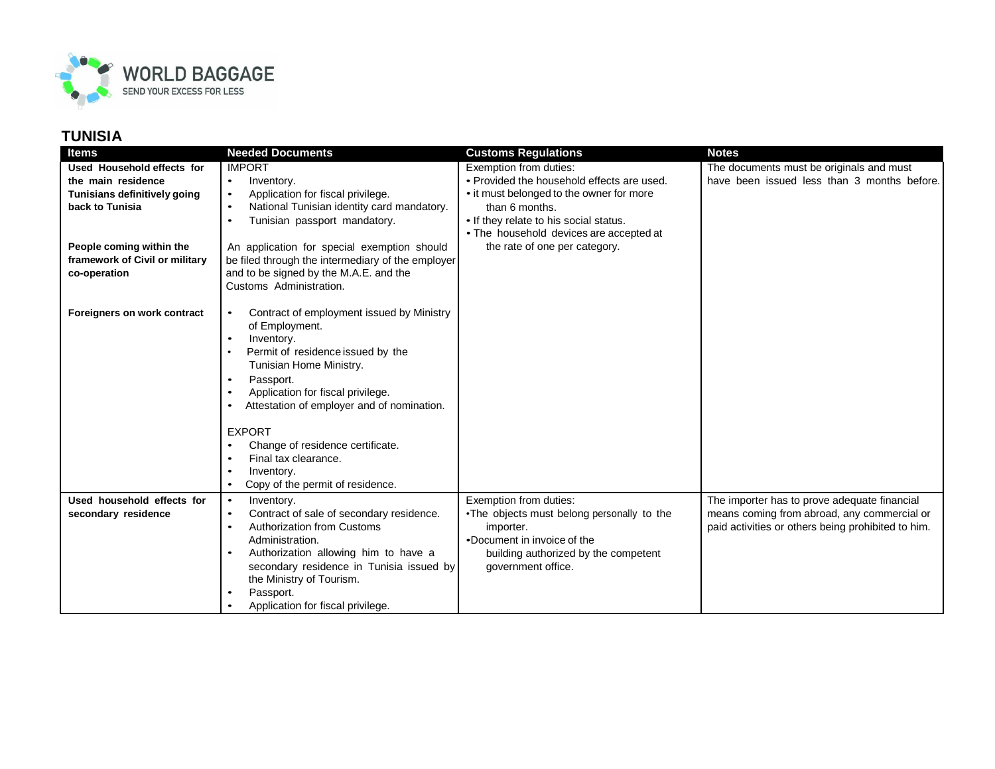

| <b>Items</b>                   | <b>Needed Documents</b>                                 | <b>Customs Regulations</b>                 | <b>Notes</b>                                       |
|--------------------------------|---------------------------------------------------------|--------------------------------------------|----------------------------------------------------|
| Used Household effects for     | <b>IMPORT</b>                                           | Exemption from duties:                     | The documents must be originals and must           |
| the main residence             | Inventory.<br>$\bullet$                                 | • Provided the household effects are used. | have been issued less than 3 months before.        |
| Tunisians definitively going   | Application for fiscal privilege.<br>$\bullet$          | • it must belonged to the owner for more   |                                                    |
| back to Tunisia                | National Tunisian identity card mandatory.<br>$\bullet$ | than 6 months.                             |                                                    |
|                                | Tunisian passport mandatory.<br>$\bullet$               | • If they relate to his social status.     |                                                    |
|                                |                                                         | • The household devices are accepted at    |                                                    |
| People coming within the       | An application for special exemption should             | the rate of one per category.              |                                                    |
| framework of Civil or military | be filed through the intermediary of the employer       |                                            |                                                    |
| co-operation                   | and to be signed by the M.A.E. and the                  |                                            |                                                    |
|                                | Customs Administration.                                 |                                            |                                                    |
|                                |                                                         |                                            |                                                    |
| Foreigners on work contract    | Contract of employment issued by Ministry<br>$\bullet$  |                                            |                                                    |
|                                | of Employment.                                          |                                            |                                                    |
|                                | Inventory.<br>$\bullet$                                 |                                            |                                                    |
|                                | Permit of residence issued by the                       |                                            |                                                    |
|                                | Tunisian Home Ministry.                                 |                                            |                                                    |
|                                | Passport.                                               |                                            |                                                    |
|                                | Application for fiscal privilege.<br>$\bullet$          |                                            |                                                    |
|                                | Attestation of employer and of nomination.              |                                            |                                                    |
|                                | <b>EXPORT</b>                                           |                                            |                                                    |
|                                | Change of residence certificate.                        |                                            |                                                    |
|                                | Final tax clearance.<br>$\bullet$                       |                                            |                                                    |
|                                | Inventory.                                              |                                            |                                                    |
|                                | Copy of the permit of residence.<br>$\bullet$           |                                            |                                                    |
| Used household effects for     | $\bullet$<br>Inventory.                                 | Exemption from duties:                     | The importer has to prove adequate financial       |
| secondary residence            | Contract of sale of secondary residence.<br>$\bullet$   | •The objects must belong personally to the | means coming from abroad, any commercial or        |
|                                | <b>Authorization from Customs</b><br>$\bullet$          | importer.                                  | paid activities or others being prohibited to him. |
|                                | Administration.                                         | •Document in invoice of the                |                                                    |
|                                | Authorization allowing him to have a                    | building authorized by the competent       |                                                    |
|                                | secondary residence in Tunisia issued by                | government office.                         |                                                    |
|                                | the Ministry of Tourism.                                |                                            |                                                    |
|                                | Passport.                                               |                                            |                                                    |
|                                | Application for fiscal privilege.                       |                                            |                                                    |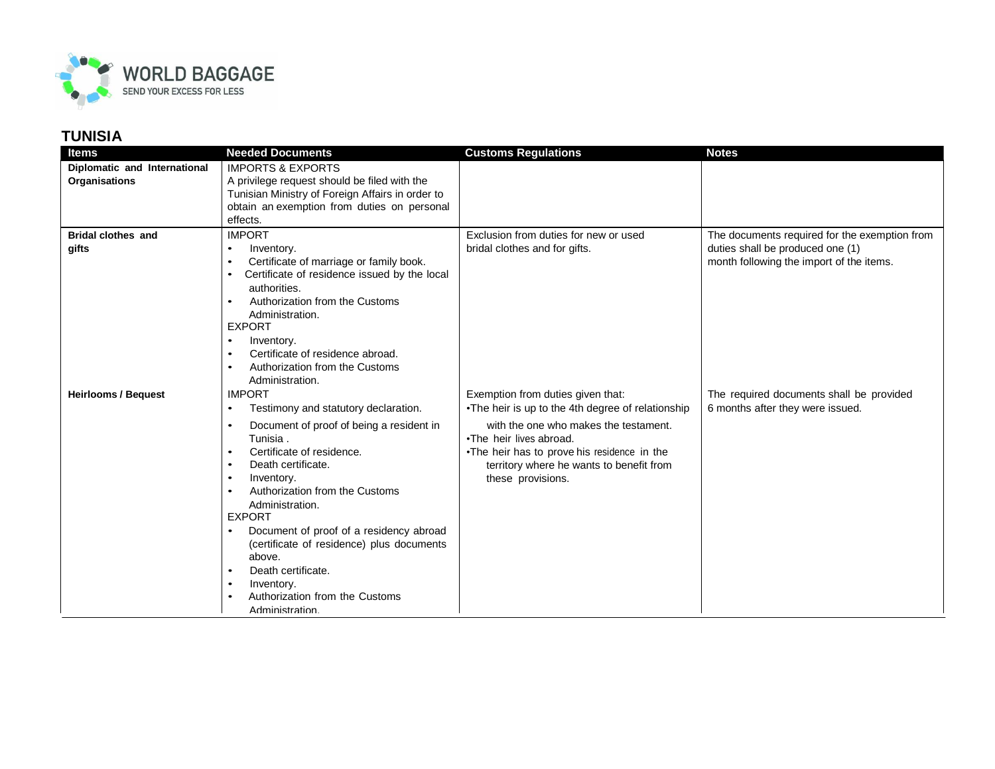

| <b>Items</b>                                         | <b>Needed Documents</b>                                                         | <b>Customs Regulations</b>                                                              | <b>Notes</b>                                                                 |
|------------------------------------------------------|---------------------------------------------------------------------------------|-----------------------------------------------------------------------------------------|------------------------------------------------------------------------------|
| Diplomatic and International<br><b>Organisations</b> | <b>IMPORTS &amp; EXPORTS</b><br>A privilege request should be filed with the    |                                                                                         |                                                                              |
|                                                      | Tunisian Ministry of Foreign Affairs in order to                                |                                                                                         |                                                                              |
|                                                      | obtain an exemption from duties on personal                                     |                                                                                         |                                                                              |
|                                                      | effects.                                                                        |                                                                                         |                                                                              |
| <b>Bridal clothes and</b>                            | <b>IMPORT</b>                                                                   | Exclusion from duties for new or used                                                   | The documents required for the exemption from                                |
| gifts                                                | Inventory.<br>$\bullet$<br>Certificate of marriage or family book.<br>$\bullet$ | bridal clothes and for gifts.                                                           | duties shall be produced one (1)<br>month following the import of the items. |
|                                                      | Certificate of residence issued by the local<br>$\bullet$                       |                                                                                         |                                                                              |
|                                                      | authorities.                                                                    |                                                                                         |                                                                              |
|                                                      | Authorization from the Customs<br>$\bullet$                                     |                                                                                         |                                                                              |
|                                                      | Administration.                                                                 |                                                                                         |                                                                              |
|                                                      | <b>EXPORT</b><br>Inventory.<br>$\bullet$                                        |                                                                                         |                                                                              |
|                                                      | Certificate of residence abroad.<br>$\bullet$                                   |                                                                                         |                                                                              |
|                                                      | Authorization from the Customs<br>$\bullet$                                     |                                                                                         |                                                                              |
|                                                      | Administration.                                                                 |                                                                                         |                                                                              |
| <b>Heirlooms / Bequest</b>                           | <b>IMPORT</b>                                                                   | Exemption from duties given that:                                                       | The required documents shall be provided                                     |
|                                                      | Testimony and statutory declaration.<br>$\bullet$                               | •The heir is up to the 4th degree of relationship                                       | 6 months after they were issued.                                             |
|                                                      | Document of proof of being a resident in                                        | with the one who makes the testament.                                                   |                                                                              |
|                                                      | Tunisia.                                                                        | •The heir lives abroad.                                                                 |                                                                              |
|                                                      | Certificate of residence.<br>$\bullet$<br>Death certificate.<br>$\bullet$       | •The heir has to prove his residence in the<br>territory where he wants to benefit from |                                                                              |
|                                                      | Inventory.<br>$\bullet$                                                         | these provisions.                                                                       |                                                                              |
|                                                      | Authorization from the Customs<br>$\bullet$                                     |                                                                                         |                                                                              |
|                                                      | Administration.                                                                 |                                                                                         |                                                                              |
|                                                      | <b>EXPORT</b>                                                                   |                                                                                         |                                                                              |
|                                                      | Document of proof of a residency abroad<br>$\bullet$                            |                                                                                         |                                                                              |
|                                                      | (certificate of residence) plus documents<br>above.                             |                                                                                         |                                                                              |
|                                                      | Death certificate.<br>$\bullet$                                                 |                                                                                         |                                                                              |
|                                                      | Inventory.<br>$\bullet$                                                         |                                                                                         |                                                                              |
|                                                      | Authorization from the Customs                                                  |                                                                                         |                                                                              |
|                                                      | Administration.                                                                 |                                                                                         |                                                                              |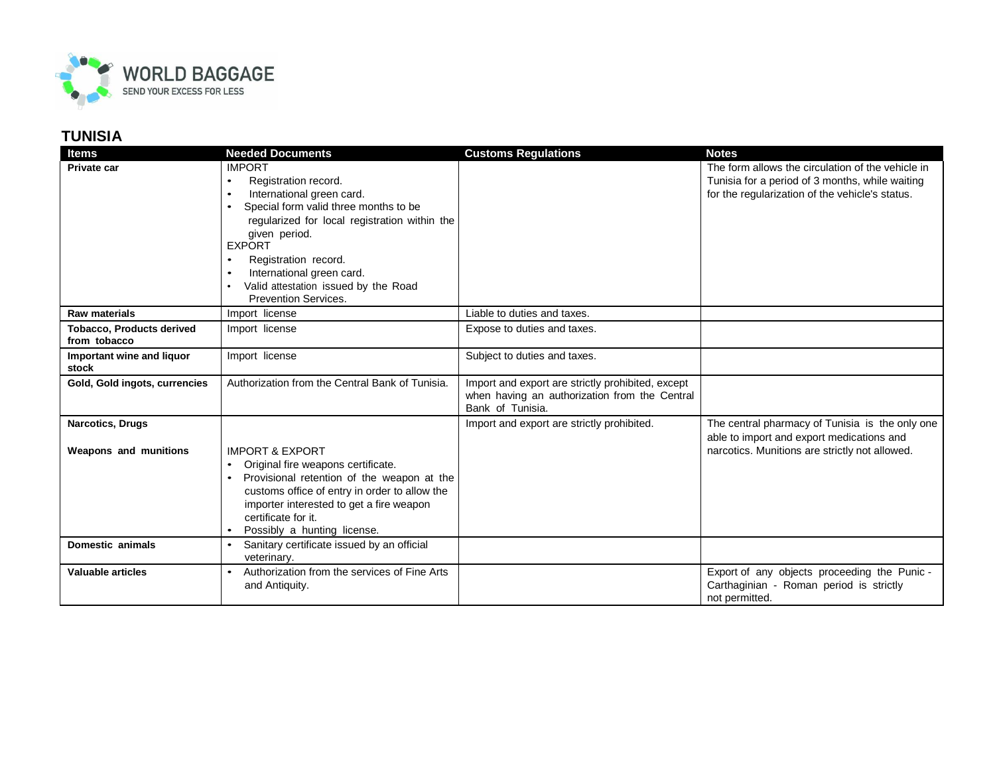

| <b>Items</b>                                     | <b>Needed Documents</b>                                         | <b>Customs Regulations</b>                                                                                             | <b>Notes</b>                                                                                         |
|--------------------------------------------------|-----------------------------------------------------------------|------------------------------------------------------------------------------------------------------------------------|------------------------------------------------------------------------------------------------------|
| Private car                                      | <b>IMPORT</b><br>Registration record.<br>$\bullet$              |                                                                                                                        | The form allows the circulation of the vehicle in<br>Tunisia for a period of 3 months, while waiting |
|                                                  | International green card.<br>$\bullet$                          |                                                                                                                        | for the regularization of the vehicle's status.                                                      |
|                                                  | Special form valid three months to be                           |                                                                                                                        |                                                                                                      |
|                                                  | regularized for local registration within the                   |                                                                                                                        |                                                                                                      |
|                                                  | given period.<br><b>EXPORT</b>                                  |                                                                                                                        |                                                                                                      |
|                                                  | Registration record.                                            |                                                                                                                        |                                                                                                      |
|                                                  | International green card.                                       |                                                                                                                        |                                                                                                      |
|                                                  | Valid attestation issued by the Road                            |                                                                                                                        |                                                                                                      |
|                                                  | Prevention Services.                                            |                                                                                                                        |                                                                                                      |
| <b>Raw materials</b>                             | Import license                                                  | Liable to duties and taxes.                                                                                            |                                                                                                      |
| <b>Tobacco, Products derived</b><br>from tobacco | Import license                                                  | Expose to duties and taxes.                                                                                            |                                                                                                      |
| Important wine and liquor<br>stock               | Import license                                                  | Subject to duties and taxes.                                                                                           |                                                                                                      |
| Gold, Gold ingots, currencies                    | Authorization from the Central Bank of Tunisia.                 | Import and export are strictly prohibited, except<br>when having an authorization from the Central<br>Bank of Tunisia. |                                                                                                      |
| <b>Narcotics, Drugs</b>                          |                                                                 | Import and export are strictly prohibited.                                                                             | The central pharmacy of Tunisia is the only one<br>able to import and export medications and         |
| Weapons and munitions                            | <b>IMPORT &amp; EXPORT</b>                                      |                                                                                                                        | narcotics. Munitions are strictly not allowed.                                                       |
|                                                  | Original fire weapons certificate.<br>$\bullet$                 |                                                                                                                        |                                                                                                      |
|                                                  | Provisional retention of the weapon at the                      |                                                                                                                        |                                                                                                      |
|                                                  | customs office of entry in order to allow the                   |                                                                                                                        |                                                                                                      |
|                                                  | importer interested to get a fire weapon<br>certificate for it. |                                                                                                                        |                                                                                                      |
|                                                  | Possibly a hunting license.                                     |                                                                                                                        |                                                                                                      |
| <b>Domestic animals</b>                          | Sanitary certificate issued by an official                      |                                                                                                                        |                                                                                                      |
|                                                  | veterinary.                                                     |                                                                                                                        |                                                                                                      |
| <b>Valuable articles</b>                         | Authorization from the services of Fine Arts<br>$\bullet$       |                                                                                                                        | Export of any objects proceeding the Punic -                                                         |
|                                                  | and Antiquity.                                                  |                                                                                                                        | Carthaginian - Roman period is strictly<br>not permitted.                                            |